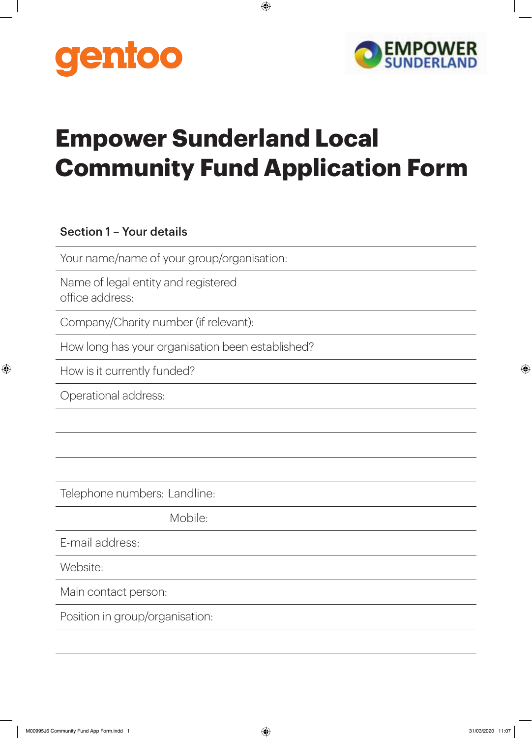



## **Empower Sunderland Local Community Fund Application Form**

 $\bigoplus$ 

## Section 1 – Your details

Your name/name of your group/organisation:

Name of legal entity and registered office address:

Company/Charity number (if relevant):

How long has your organisation been established?

How is it currently funded?

Operational address:

 $\bigoplus$ 

Telephone numbers: Landline:

Mobile:

E-mail address:

Website:

Main contact person:

Position in group/organisation: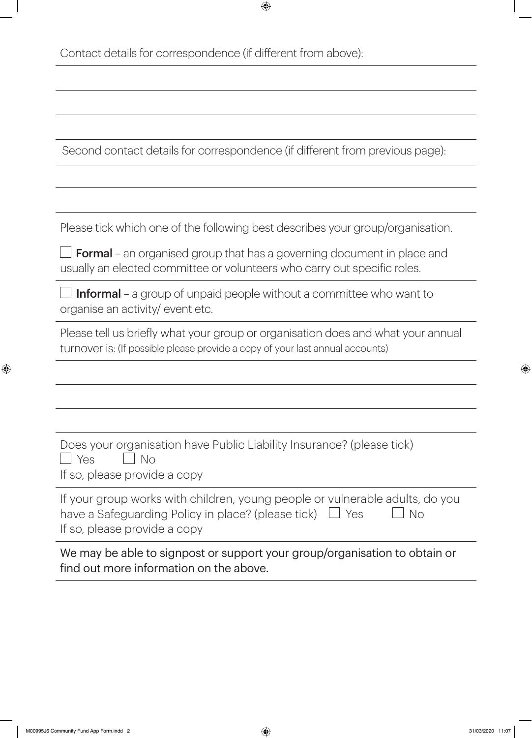Contact details for correspondence (if different from above):

Second contact details for correspondence (if different from previous page):

 $\bigoplus$ 

Please tick which one of the following best describes your group/organisation.

 $\Box$  Formal – an organised group that has a governing document in place and usually an elected committee or volunteers who carry out specific roles.

 $\Box$  Informal – a group of unpaid people without a committee who want to organise an activity/ event etc.

Please tell us briefly what your group or organisation does and what your annual turnover is: (If possible please provide a copy of your last annual accounts)

| Does your organisation have Public Liability Insurance? (please tick) |  |
|-----------------------------------------------------------------------|--|
| $\vert$ Yes $\vert$ No                                                |  |
| If so, please provide a copy                                          |  |

| If your group works with children, young people or vulnerable adults, do you       |  |
|------------------------------------------------------------------------------------|--|
| $\blacksquare$ No<br>have a Safeguarding Policy in place? (please tick) $\Box$ Yes |  |
| If so, please provide a copy                                                       |  |

We may be able to signpost or support your group/organisation to obtain or find out more information on the above.

⊕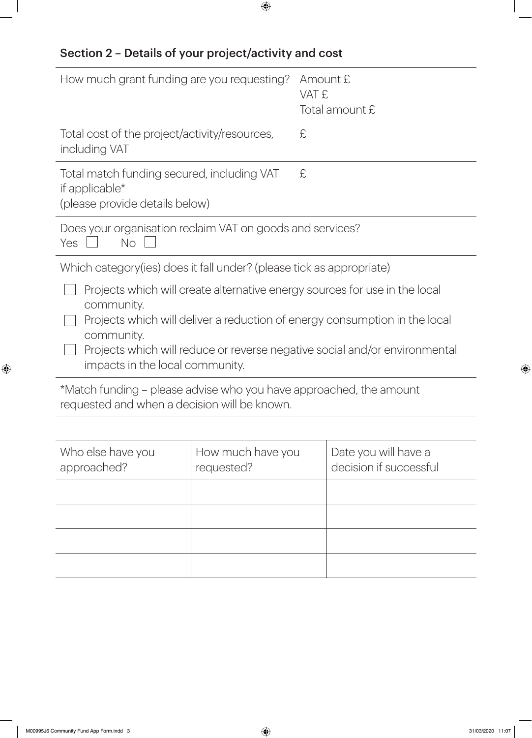## Section 2 – Details of your project/activity and cost

| How much grant funding are you requesting?                                                                         |                   | Amount £<br>VAT £ | Total amount £                                                                                                                                                                                                                         |
|--------------------------------------------------------------------------------------------------------------------|-------------------|-------------------|----------------------------------------------------------------------------------------------------------------------------------------------------------------------------------------------------------------------------------------|
| Total cost of the project/activity/resources,<br>including VAT                                                     |                   | £                 |                                                                                                                                                                                                                                        |
| Total match funding secured, including VAT<br>if applicable*<br>(please provide details below)                     |                   | £                 |                                                                                                                                                                                                                                        |
| Does your organisation reclaim VAT on goods and services?<br><b>No</b><br><b>Yes</b>                               |                   |                   |                                                                                                                                                                                                                                        |
| Which category (ies) does it fall under? (please tick as appropriate)                                              |                   |                   |                                                                                                                                                                                                                                        |
| community.<br>community.<br>impacts in the local community.                                                        |                   |                   | Projects which will create alternative energy sources for use in the local<br>Projects which will deliver a reduction of energy consumption in the local<br>Projects which will reduce or reverse negative social and/or environmental |
| *Match funding – please advise who you have approached, the amount<br>requested and when a decision will be known. |                   |                   |                                                                                                                                                                                                                                        |
|                                                                                                                    |                   |                   |                                                                                                                                                                                                                                        |
| Who else have you                                                                                                  | How much have you |                   | Date you will have a                                                                                                                                                                                                                   |

 $\bigoplus$ 

requested?

approached?

 $\bigoplus$ 

 $\bigoplus$ 

decision if successful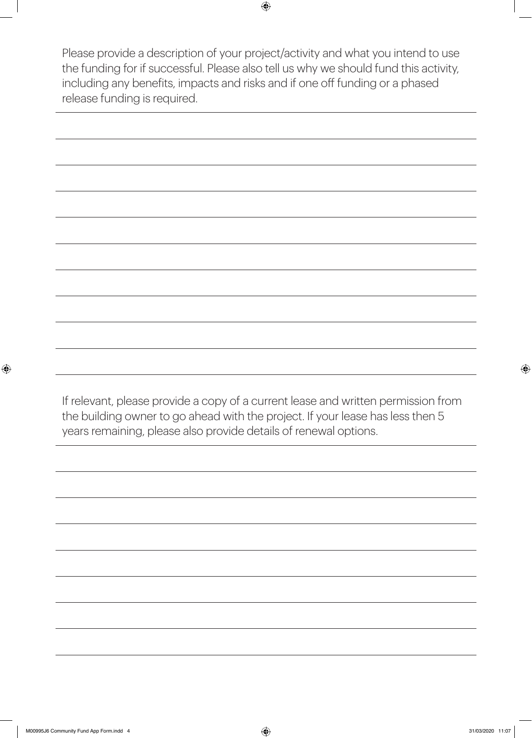Please provide a description of your project/activity and what you intend to use the funding for if successful. Please also tell us why we should fund this activity, including any benefits, impacts and risks and if one off funding or a phased release funding is required.

 $\bigoplus$ 

If relevant, please provide a copy of a current lease and written permission from the building owner to go ahead with the project. If your lease has less then 5 years remaining, please also provide details of renewal options.

 $\bigoplus$ 

 $\bigoplus$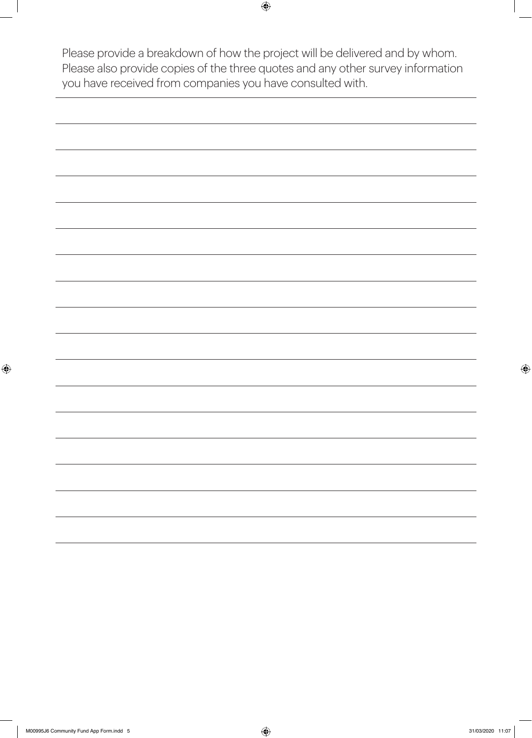Please provide a breakdown of how the project will be delivered and by whom. Please also provide copies of the three quotes and any other survey information you have received from companies you have consulted with.

 $\bigoplus$ 

 $\bigoplus$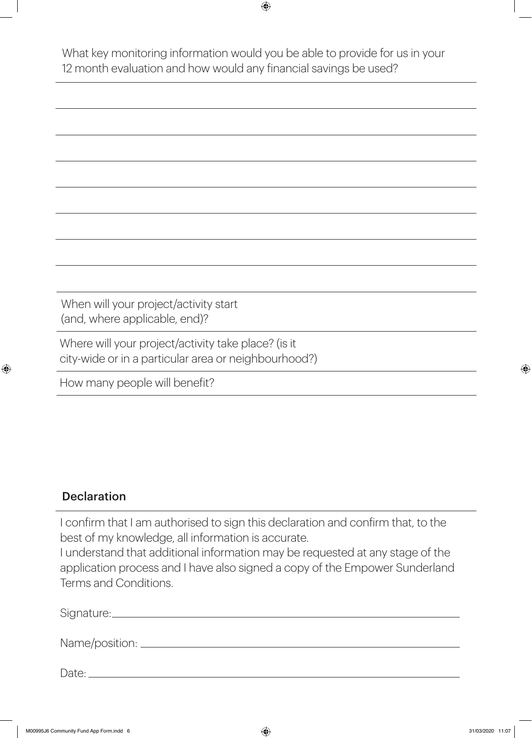What key monitoring information would you be able to provide for us in your 12 month evaluation and how would any financial savings be used?

 $\bigoplus$ 

When will your project/activity start (and, where applicable, end)? Where will your project/activity take place? (is it city-wide or in a particular area or neighbourhood?) How many people will benefit?

## **Declaration**

⊕

I confirm that I am authorised to sign this declaration and confirm that, to the best of my knowledge, all information is accurate.

I understand that additional information may be requested at any stage of the application process and I have also signed a copy of the Empower Sunderland Terms and Conditions.

| Signature:       |  |  |  |
|------------------|--|--|--|
| Name/position: _ |  |  |  |

Date: Date: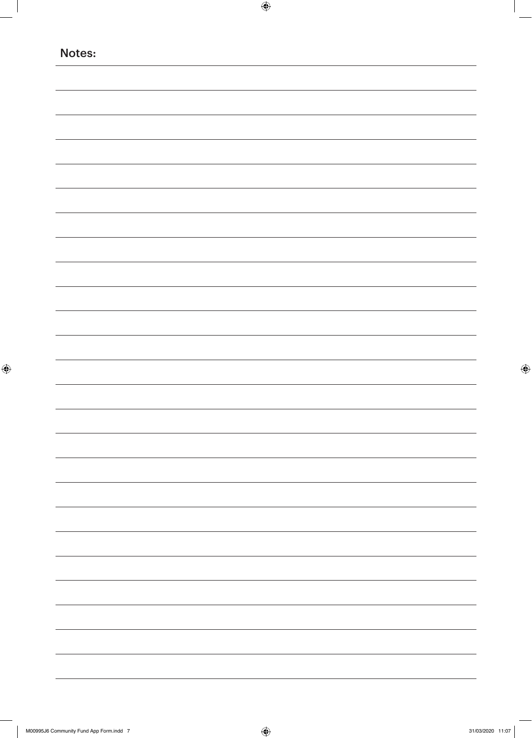| Notes: |  |  |  |
|--------|--|--|--|
|        |  |  |  |
|        |  |  |  |
|        |  |  |  |
|        |  |  |  |
|        |  |  |  |
|        |  |  |  |
|        |  |  |  |
|        |  |  |  |
|        |  |  |  |
|        |  |  |  |
|        |  |  |  |
|        |  |  |  |
|        |  |  |  |
|        |  |  |  |
|        |  |  |  |
|        |  |  |  |
|        |  |  |  |
|        |  |  |  |
|        |  |  |  |
|        |  |  |  |
|        |  |  |  |
|        |  |  |  |
|        |  |  |  |
|        |  |  |  |
|        |  |  |  |
|        |  |  |  |
|        |  |  |  |
|        |  |  |  |
|        |  |  |  |
|        |  |  |  |
|        |  |  |  |
|        |  |  |  |
|        |  |  |  |
|        |  |  |  |
|        |  |  |  |
|        |  |  |  |
|        |  |  |  |
|        |  |  |  |
|        |  |  |  |

 $\bigoplus$ 

 $\mathbb{R}^2$ 

 $\bigoplus$ 

 $\bigoplus$